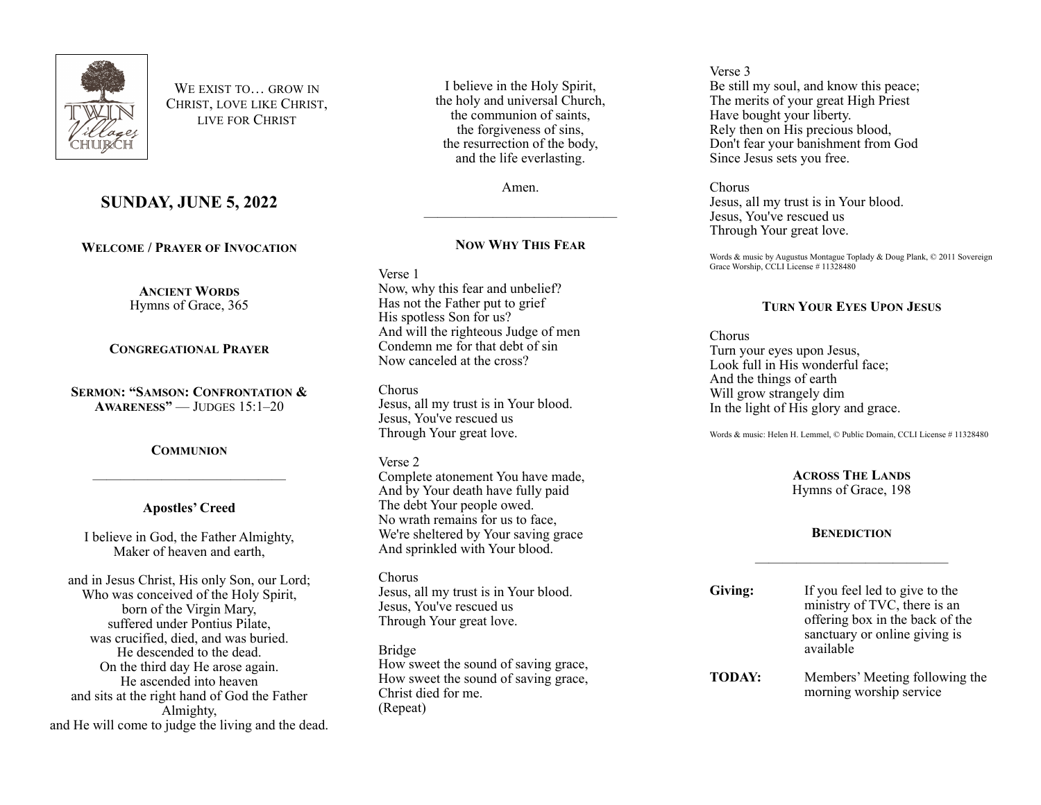

WE EXIST TO **GROW IN** CHRIST, LOVE LIKE CHRIST, LIVE FOR CHRIST

# **SUNDAY, JUNE 5, 2022**

**WELCOME / PRAYER OF INVOCATION**

**ANCIENT WORDS** Hymns of Grace, 365

## **CONGREGATIONAL PRAYER**

**SERMON: "SAMSON: CONFRONTATION & AWARENESS"** — JUDGES 15:1–20

## **COMMUNION**

# **Apostles' Creed**

——————————————

I believe in God, the Father Almighty, Maker of heaven and earth,

and in Jesus Christ, His only Son, our Lord; Who was conceived of the Holy Spirit, born of the Virgin Mary, suffered under Pontius Pilate, was crucified, died, and was buried. He descended to the dead. On the third day He arose again. He ascended into heaven and sits at the right hand of God the Father Almighty, and He will come to judge the living and the dead.

I believe in the Holy Spirit, the holy and universal Church, the communion of saints, the forgiveness of sins, the resurrection of the body, and the life everlasting.

Amen.

——————————————

# **NOW WHY THIS FEAR**

Verse 1

Now, why this fear and unbelief? Has not the Father put to grief His spotless Son for us? And will the righteous Judge of men Condemn me for that debt of sin Now canceled at the cross?

Chorus Jesus, all my trust is in Your blood. Jesus, You've rescued us Through Your great love.

## Verse 2

Complete atonement You have made, And by Your death have fully paid The debt Your people owed. No wrath remains for us to face, We're sheltered by Your saving grace And sprinkled with Your blood.

Chorus Jesus, all my trust is in Your blood. Jesus, You've rescued us Through Your great love.

Bridge How sweet the sound of saving grace, How sweet the sound of saving grace, Christ died for me. (Repeat)

#### Verse 3 Be still my soul, and know this peace; The merits of your great High Priest Have bought your liberty. Rely then on His precious blood, Don't fear your banishment from God Since Jesus sets you free.

Chorus Jesus, all my trust is in Your blood. Jesus, You've rescued us Through Your great love.

Words & music by Augustus Montague Toplady & Doug Plank, © 2011 Sovereign Grace Worship, CCLI License # 11328480

# **TURN YOUR EYES UPON JESUS**

Chorus Turn your eyes upon Jesus, Look full in His wonderful face; And the things of earth Will grow strangely dim In the light of His glory and grace.

Words & music: Helen H. Lemmel, © Public Domain, CCLI License # 11328480

**ACROSS THE LANDS** Hymns of Grace, 198

# **BENEDICTION**

——————————————

| Giving:       | If you feel led to give to the<br>ministry of TVC, there is an<br>offering box in the back of the<br>sanctuary or online giving is<br>available |
|---------------|-------------------------------------------------------------------------------------------------------------------------------------------------|
| <b>TODAY:</b> | Members' Meeting following the<br>morning worship service                                                                                       |